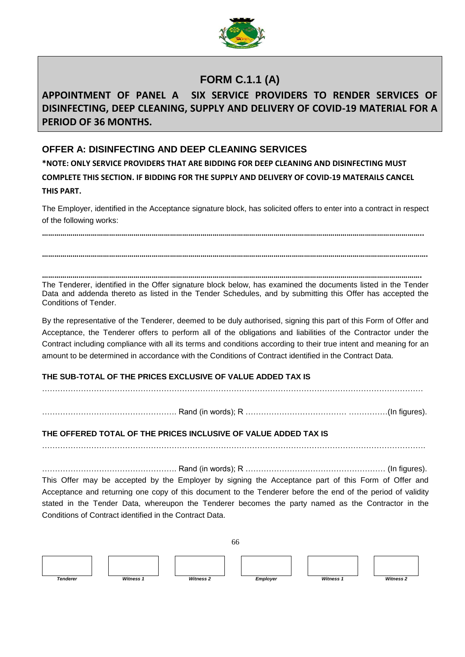

# **FORM C.1.1 (A)**

# **APPOINTMENT OF PANEL A SIX SERVICE PROVIDERS TO RENDER SERVICES OF DISINFECTING, DEEP CLEANING, SUPPLY AND DELIVERY OF COVID-19 MATERIAL FOR A PERIOD OF 36 MONTHS.**

## **OFFER A: DISINFECTING AND DEEP CLEANING SERVICES**

**\*NOTE: ONLY SERVICE PROVIDERS THAT ARE BIDDING FOR DEEP CLEANING AND DISINFECTING MUST COMPLETE THIS SECTION. IF BIDDING FOR THE SUPPLY AND DELIVERY OF COVID-19 MATERAILS CANCEL THIS PART.**

The Employer, identified in the Acceptance signature block, has solicited offers to enter into a contract in respect of the following works:

**……………………………………………………………………………………………………………………………………………………………………..**

**………………………………………………………………………………………………………………………………………………………………………. …………………………………………………………………………………………………………………………………………………………………….**

The Tenderer, identified in the Offer signature block below, has examined the documents listed in the Tender Data and addenda thereto as listed in the Tender Schedules, and by submitting this Offer has accepted the Conditions of Tender.

By the representative of the Tenderer, deemed to be duly authorised, signing this part of this Form of Offer and Acceptance, the Tenderer offers to perform all of the obligations and liabilities of the Contractor under the Contract including compliance with all its terms and conditions according to their true intent and meaning for an amount to be determined in accordance with the Conditions of Contract identified in the Contract Data.

## **THE SUB-TOTAL OF THE PRICES EXCLUSIVE OF VALUE ADDED TAX IS**

…………………………………………………………………………………………………………………………………

……………………………………………. Rand (in words); R ………………………………… ……………(In figures).

### **THE OFFERED TOTAL OF THE PRICES INCLUSIVE OF VALUE ADDED TAX IS**

………………………………………………………………………………………………………………………………….

……………………………………………. Rand (in words); R ……………………………………………… (In figures).

This Offer may be accepted by the Employer by signing the Acceptance part of this Form of Offer and Acceptance and returning one copy of this document to the Tenderer before the end of the period of validity stated in the Tender Data, whereupon the Tenderer becomes the party named as the Contractor in the Conditions of Contract identified in the Contract Data.

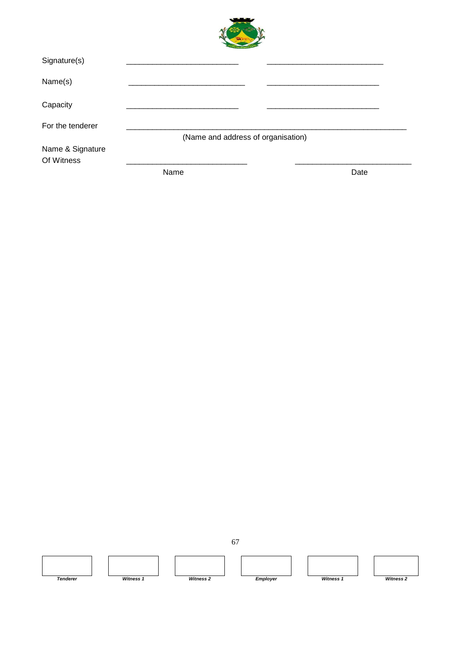| Signature(s)                   |                                    |      |
|--------------------------------|------------------------------------|------|
| Name(s)                        |                                    |      |
| Capacity                       |                                    |      |
| For the tenderer               |                                    |      |
|                                | (Name and address of organisation) |      |
| Name & Signature<br>Of Witness |                                    |      |
|                                | Name                               | Date |

**The Second Second** 

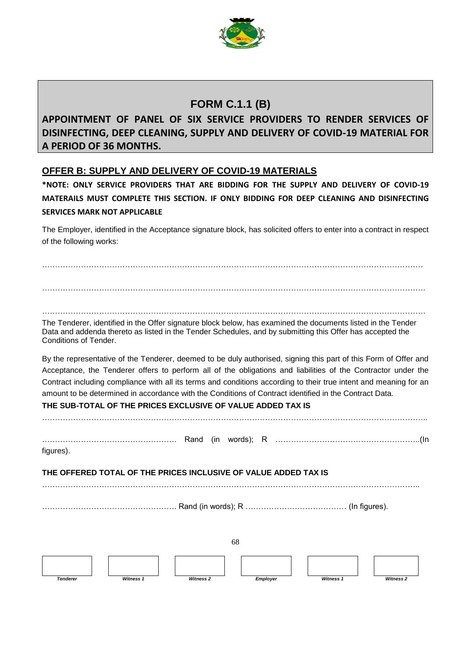

# **FORM C.1.1 (B)**

# **APPOINTMENT OF PANEL OF SIX SERVICE PROVIDERS TO RENDER SERVICES OF DISINFECTING, DEEP CLEANING, SUPPLY AND DELIVERY OF COVID-19 MATERIAL FOR A PERIOD OF 36 MONTHS.**

## **OFFER B: SUPPLY AND DELIVERY OF COVID-19 MATERIALS**

**\*NOTE: ONLY SERVICE PROVIDERS THAT ARE BIDDING FOR THE SUPPLY AND DELIVERY OF COVID-19 MATERAILS MUST COMPLETE THIS SECTION. IF ONLY BIDDING FOR DEEP CLEANING AND DISINFECTING SERVICES MARK NOT APPLICABLE** 

The Employer, identified in the Acceptance signature block, has solicited offers to enter into a contract in respect of the following works:

………………………………………………………………………………………………………………………………… ………………………………………………………………………………………………………………………………….

………………………………………………………………………………………………………………………………….

The Tenderer, identified in the Offer signature block below, has examined the documents listed in the Tender Data and addenda thereto as listed in the Tender Schedules, and by submitting this Offer has accepted the Conditions of Tender.

By the representative of the Tenderer, deemed to be duly authorised, signing this part of this Form of Offer and Acceptance, the Tenderer offers to perform all of the obligations and liabilities of the Contractor under the Contract including compliance with all its terms and conditions according to their true intent and meaning for an amount to be determined in accordance with the Conditions of Contract identified in the Contract Data.

## **THE SUB-TOTAL OF THE PRICES EXCLUSIVE OF VALUE ADDED TAX IS**

| figures).                                                       |  |    |  |  |  |  |
|-----------------------------------------------------------------|--|----|--|--|--|--|
| THE OFFERED TOTAL OF THE PRICES INCLUSIVE OF VALUE ADDED TAX IS |  |    |  |  |  |  |
|                                                                 |  |    |  |  |  |  |
|                                                                 |  | 68 |  |  |  |  |
|                                                                 |  |    |  |  |  |  |

*Tenderer Witness 1 Witness 2 Employer Witness 1 Witness 2*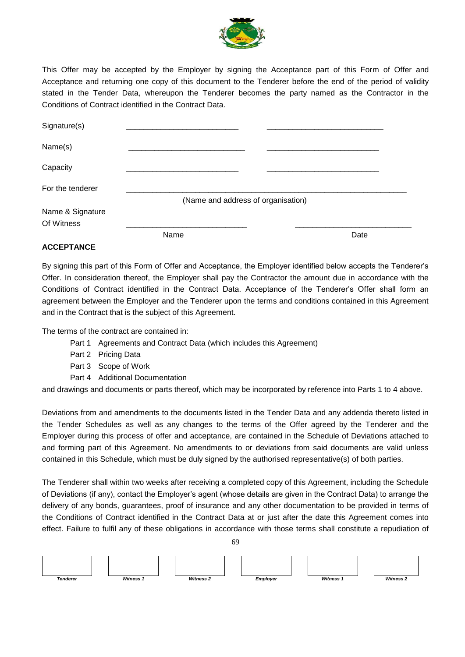

This Offer may be accepted by the Employer by signing the Acceptance part of this Form of Offer and Acceptance and returning one copy of this document to the Tenderer before the end of the period of validity stated in the Tender Data, whereupon the Tenderer becomes the party named as the Contractor in the Conditions of Contract identified in the Contract Data.

| Signature(s)                   |                                    |      |
|--------------------------------|------------------------------------|------|
| Name(s)                        |                                    |      |
| Capacity                       |                                    |      |
| For the tenderer               |                                    |      |
| Name & Signature<br>Of Witness | (Name and address of organisation) |      |
|                                | Name                               | Date |

#### **ACCEPTANCE**

By signing this part of this Form of Offer and Acceptance, the Employer identified below accepts the Tenderer's Offer. In consideration thereof, the Employer shall pay the Contractor the amount due in accordance with the Conditions of Contract identified in the Contract Data. Acceptance of the Tenderer's Offer shall form an agreement between the Employer and the Tenderer upon the terms and conditions contained in this Agreement and in the Contract that is the subject of this Agreement.

The terms of the contract are contained in:

- Part 1 Agreements and Contract Data (which includes this Agreement)
- Part 2 Pricing Data
- Part 3 Scope of Work
- Part 4 Additional Documentation

and drawings and documents or parts thereof, which may be incorporated by reference into Parts 1 to 4 above.

Deviations from and amendments to the documents listed in the Tender Data and any addenda thereto listed in the Tender Schedules as well as any changes to the terms of the Offer agreed by the Tenderer and the Employer during this process of offer and acceptance, are contained in the Schedule of Deviations attached to and forming part of this Agreement. No amendments to or deviations from said documents are valid unless contained in this Schedule, which must be duly signed by the authorised representative(s) of both parties.

The Tenderer shall within two weeks after receiving a completed copy of this Agreement, including the Schedule of Deviations (if any), contact the Employer's agent (whose details are given in the Contract Data) to arrange the delivery of any bonds, guarantees, proof of insurance and any other documentation to be provided in terms of the Conditions of Contract identified in the Contract Data at or just after the date this Agreement comes into effect. Failure to fulfil any of these obligations in accordance with those terms shall constitute a repudiation of

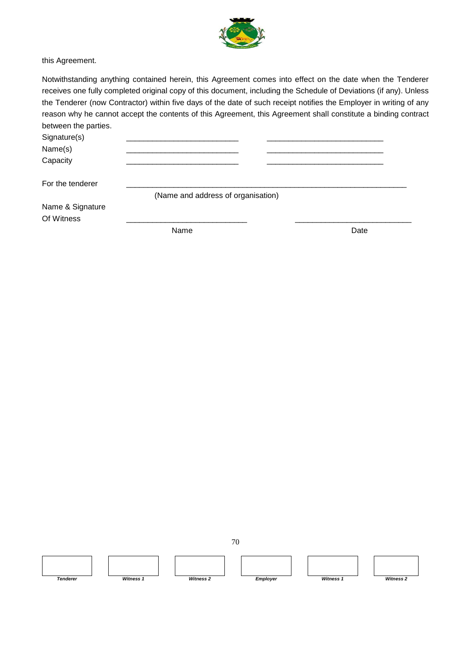

this Agreement.

Notwithstanding anything contained herein, this Agreement comes into effect on the date when the Tenderer receives one fully completed original copy of this document, including the Schedule of Deviations (if any). Unless the Tenderer (now Contractor) within five days of the date of such receipt notifies the Employer in writing of any reason why he cannot accept the contents of this Agreement, this Agreement shall constitute a binding contract between the parties.

Signature(s) Name(s) \_\_\_\_\_\_\_\_\_\_\_\_\_\_\_\_\_\_\_\_\_\_\_\_\_\_ \_\_\_\_\_\_\_\_\_\_\_\_\_\_\_\_\_\_\_\_\_\_\_\_\_\_\_ Capacity \_\_\_\_\_\_\_\_\_\_\_\_\_\_\_\_\_\_\_\_\_\_\_\_\_\_ \_\_\_\_\_\_\_\_\_\_\_\_\_\_\_\_\_\_\_\_\_\_\_\_\_\_\_ For the tenderer (Name and address of organisation)

Name & Signature Of Witness \_\_\_\_\_\_\_\_\_\_\_\_\_\_\_\_\_\_\_\_\_\_\_\_\_\_\_\_ \_\_\_\_\_\_\_\_\_\_\_\_\_\_\_\_\_\_\_\_\_\_\_\_\_\_\_

Name Date Date Date

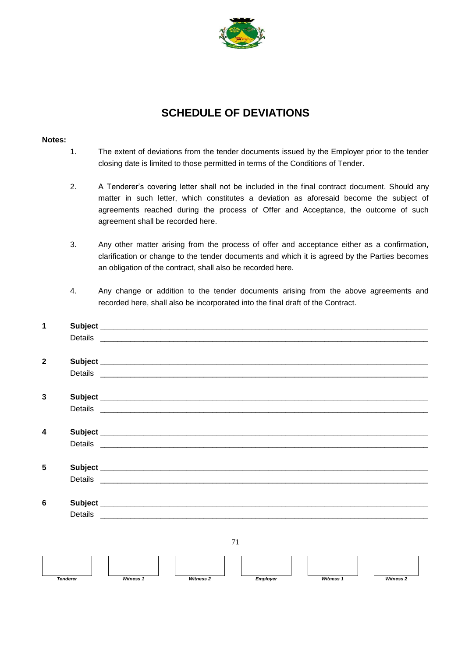

# **SCHEDULE OF DEVIATIONS**

#### **Notes:**

- 1. The extent of deviations from the tender documents issued by the Employer prior to the tender closing date is limited to those permitted in terms of the Conditions of Tender.
- 2. A Tenderer's covering letter shall not be included in the final contract document. Should any matter in such letter, which constitutes a deviation as aforesaid become the subject of agreements reached during the process of Offer and Acceptance, the outcome of such agreement shall be recorded here.
- 3. Any other matter arising from the process of offer and acceptance either as a confirmation, clarification or change to the tender documents and which it is agreed by the Parties becomes an obligation of the contract, shall also be recorded here.
- 4. Any change or addition to the tender documents arising from the above agreements and recorded here, shall also be incorporated into the final draft of the Contract.

| $\overline{\mathbf{1}}$ |                                                                                                                                                                                                                                |  |    |  |  |  |
|-------------------------|--------------------------------------------------------------------------------------------------------------------------------------------------------------------------------------------------------------------------------|--|----|--|--|--|
|                         |                                                                                                                                                                                                                                |  |    |  |  |  |
| $\overline{2}$          |                                                                                                                                                                                                                                |  |    |  |  |  |
|                         |                                                                                                                                                                                                                                |  |    |  |  |  |
| 3                       |                                                                                                                                                                                                                                |  |    |  |  |  |
|                         | Details experience and the contract of the contract of the contract of the contract of the contract of the contract of the contract of the contract of the contract of the contract of the contract of the contract of the con |  |    |  |  |  |
| 4                       |                                                                                                                                                                                                                                |  |    |  |  |  |
|                         |                                                                                                                                                                                                                                |  |    |  |  |  |
| 5                       |                                                                                                                                                                                                                                |  |    |  |  |  |
|                         |                                                                                                                                                                                                                                |  |    |  |  |  |
| 6                       |                                                                                                                                                                                                                                |  |    |  |  |  |
|                         | Details experience and the contract of the contract of the contract of the contract of the contract of the contract of the contract of the contract of the contract of the contract of the contract of the contract of the con |  |    |  |  |  |
|                         |                                                                                                                                                                                                                                |  |    |  |  |  |
|                         |                                                                                                                                                                                                                                |  | 71 |  |  |  |
|                         |                                                                                                                                                                                                                                |  |    |  |  |  |

*Tenderer Witness 1 Witness 2 Employer Witness 1 Witness 2*